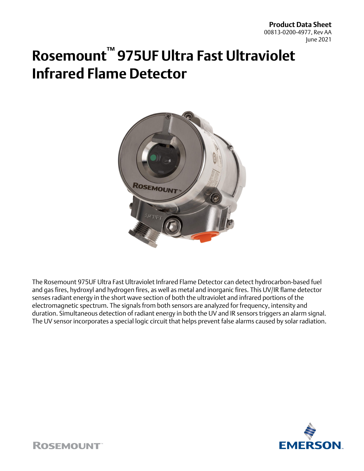**Product Data Sheet** 00813-0200-4977, Rev AA June 2021

# **Rosemount™ 975UF Ultra Fast Ultraviolet Infrared Flame Detector**



The Rosemount 975UF Ultra Fast Ultraviolet Infrared Flame Detector can detect hydrocarbon-based fuel and gas fires, hydroxyl and hydrogen fires, as well as metal and inorganic fires. This UV/IR flame detector senses radiant energy in the short wave section of both the ultraviolet and infrared portions of the electromagnetic spectrum. The signals from both sensors are analyzed for frequency, intensity and duration. Simultaneous detection of radiant energy in both the UV and IR sensors triggers an alarm signal. The UV sensor incorporates a special logic circuit that helps prevent false alarms caused by solar radiation.



**ROSEMOUNT**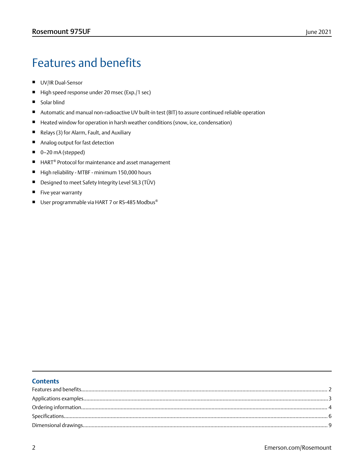## Features and benefits

- UV/IR Dual-Sensor
- High speed response under 20 msec (Exp./1 sec)
- Solar blind
- Automatic and manual non-radioactive UV built-in test (BIT) to assure continued reliable operation
- Heated window for operation in harsh weather conditions (snow, ice, condensation)
- Relays (3) for Alarm, Fault, and Auxiliary
- Analog output for fast detection
- 0–20 mA (stepped)
- HART<sup>®</sup> Protocol for maintenance and asset management
- High reliability MTBF minimum 150,000 hours
- Designed to meet Safety Integrity Level SIL3 (TÜV)
- Five year warranty
- User programmable via HART 7 or RS-485 Modbus®

### **Contents**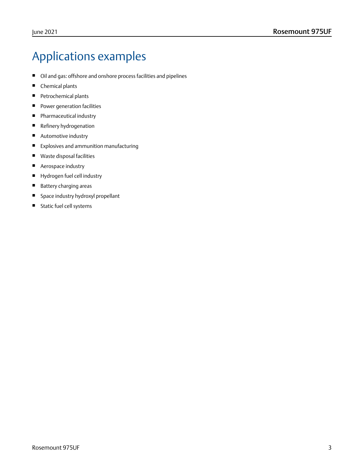## <span id="page-2-0"></span>Applications examples

- Oil and gas: offshore and onshore process facilities and pipelines
- Chemical plants
- Petrochemical plants
- Power generation facilities
- Pharmaceutical industry
- Refinery hydrogenation
- Automotive industry
- Explosives and ammunition manufacturing
- Waste disposal facilities
- Aerospace industry
- Hydrogen fuel cell industry
- Battery charging areas
- Space industry hydroxyl propellant
- Static fuel cell systems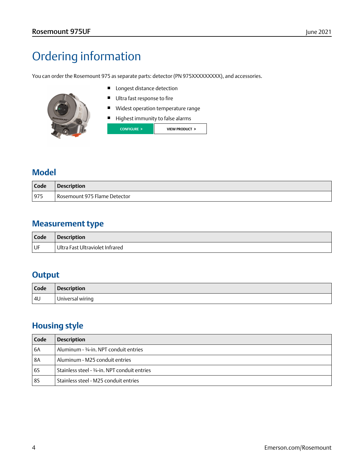## <span id="page-3-0"></span>Ordering information

You can order the Rosemount 975 as separate parts: detector (PN 975XXXXXXXXX), and accessories.

- 
- Longest distance detection
- Ultra fast response to fire
- Widest operation temperature range
- Highest immunity to false alarms



### **Model**

| l Code | <b>Description</b>           |
|--------|------------------------------|
| 975    | Rosemount 975 Flame Detector |

### **Measurement type**

| Code | <b>Description</b>              |
|------|---------------------------------|
| l UF | Ultra Fast Ultraviolet Infrared |

### **Output**

| Code | <b>Description</b> |
|------|--------------------|
| 4U   | Universal wiring   |

### **Housing style**

| Code      | <b>Description</b>                            |
|-----------|-----------------------------------------------|
| 6A        | Aluminum - 3/4-in. NPT conduit entries        |
| <b>8A</b> | Aluminum - M25 conduit entries                |
| <b>6S</b> | Stainless steel - 3/4-in. NPT conduit entries |
| 85        | Stainless steel - M25 conduit entries         |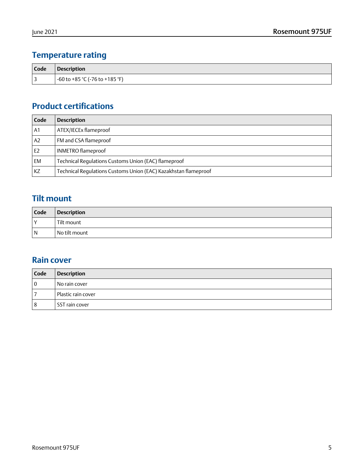## **Temperature rating**

| <b>Code</b> | Description                      |
|-------------|----------------------------------|
| 3           | $-60$ to +85 °C (-76 to +185 °F) |

## **Product certifications**

| Code           | <b>Description</b>                                              |
|----------------|-----------------------------------------------------------------|
| A <sub>1</sub> | ATEX/IECEx flameproof                                           |
| A2             | FM and CSA flameproof                                           |
| E <sub>2</sub> | <b>INMETRO</b> flameproof                                       |
| <b>EM</b>      | Technical Regulations Customs Union (EAC) flameproof            |
| KZ             | Technical Requlations Customs Union (EAC) Kazakhstan flameproof |

## **Tilt mount**

| Code | <b>Description</b> |
|------|--------------------|
| l Y  | ' Tilt mount       |
| l N  | No tilt mount      |

### **Rain cover**

| Code     | <b>Description</b> |
|----------|--------------------|
| $\Omega$ | No rain cover      |
|          | Plastic rain cover |
| 8        | l SST rain cover   |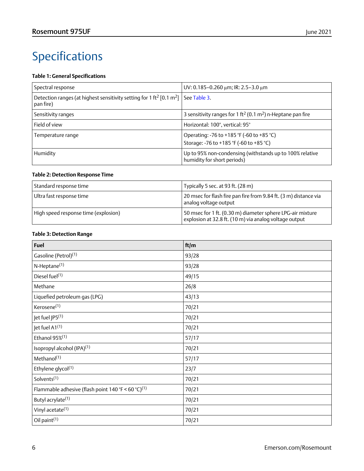## <span id="page-5-0"></span>Specifications

### **Table 1: General Specifications**

| Spectral response                                                                                                      | UV: 0.185-0.260 $\mu$ m; IR: 2.5-3.0 $\mu$ m                                            |
|------------------------------------------------------------------------------------------------------------------------|-----------------------------------------------------------------------------------------|
| Detection ranges (at highest sensitivity setting for 1 ft <sup>2</sup> [0.1 m <sup>2</sup> ] See Table 3.<br>pan fire) |                                                                                         |
| Sensitivity ranges                                                                                                     | 3 sensitivity ranges for 1 ft <sup>2</sup> (0.1 m <sup>2</sup> ) n-Heptane pan fire     |
| Field of view                                                                                                          | Horizontal: 100°, vertical: 95°                                                         |
| Temperature range                                                                                                      | Operating: -76 to +185 °F (-60 to +85 °C)<br>Storage: -76 to +185 °F (-60 to +85 °C)    |
| Humidity                                                                                                               | Up to 95% non-condensing (withstands up to 100% relative<br>humidity for short periods) |

#### **Table 2: Detection Response Time**

| Standard response time               | Typically 5 sec. at 93 ft. (28 m)                                                                                    |
|--------------------------------------|----------------------------------------------------------------------------------------------------------------------|
| Ultra fast response time             | 20 msec for flash fire pan fire from 9.84 ft. (3 m) distance via<br>analog voltage output                            |
| High speed response time (explosion) | 50 msec for 1 ft. (0.30 m) diameter sphere LPG-air mixture<br>explosion at 32.8 ft. (10 m) via analog voltage output |

#### **Table 3: Detection Range**

| <b>Fuel</b>                                                    | ft/m  |
|----------------------------------------------------------------|-------|
| Gasoline (Petrol) <sup>(1)</sup>                               | 93/28 |
| N-Heptane <sup>(1)</sup>                                       | 93/28 |
| Diesel fuel(1)                                                 | 49/15 |
| Methane                                                        | 26/8  |
| Liquefied petroleum gas (LPG)                                  | 43/13 |
| Kerosene <sup>(1)</sup>                                        | 70/21 |
| Jet fuel JP5 <sup>(1)</sup>                                    | 70/21 |
| Jet fuel A1(1)                                                 | 70/21 |
| Ethanol 95% <sup>(1)</sup>                                     | 57/17 |
| Isopropyl alcohol (IPA) <sup>(1)</sup>                         | 70/21 |
| Methanol <sup>(1)</sup>                                        | 57/17 |
| Ethylene glycol <sup>(1)</sup>                                 | 23/7  |
| Solvents <sup>(1)</sup>                                        | 70/21 |
| Flammable adhesive (flash point 140 °F < 60 °C) <sup>(1)</sup> | 70/21 |
| Butyl acrylate <sup>(1)</sup>                                  | 70/21 |
| Vinyl acetate <sup>(1)</sup>                                   | 70/21 |
| Oil paint <sup>(1)</sup>                                       | 70/21 |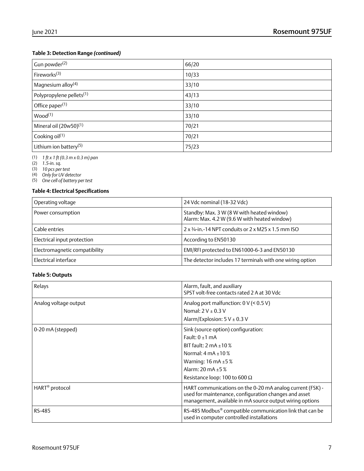#### <span id="page-6-0"></span>**Table 3: Detection Range** *(continued)*

| Gun powder <sup>(2)</sup>            | 66/20 |
|--------------------------------------|-------|
| Fireworks <sup>(3)</sup>             | 10/33 |
| Magnesium alloy <sup>(4)</sup>       | 33/10 |
| Polypropylene pellets <sup>(1)</sup> | 43/13 |
| Office paper <sup>(1)</sup>          | 33/10 |
| Wood <sup>(1)</sup>                  | 33/10 |
| Mineral oil $(20w50)^{(1)}$          | 70/21 |
| Cooking oil $(1)$                    | 70/21 |
| Lithium ion battery <sup>(5)</sup>   | 75/23 |

(1) *1 ft x 1 ft (0.3 m x 0.3 m) pan*

(2) *1.5-in. sq.*

(3) *10 pcs per test*

(4) *Only for UV detector*

(5) *One cell of battery per test*

### **Table 4: Electrical Specifications**

| Operating voltage             | 24 Vdc nominal (18-32 Vdc)                                                                 |
|-------------------------------|--------------------------------------------------------------------------------------------|
| Power consumption             | Standby: Max. 3 W (8 W with heated window)<br>Alarm: Max. 4.2 W (9.6 W with heated window) |
| Cable entries                 | $2 \times 3/4$ -in.-14 NPT conduits or $2 \times M$ 25 x 1.5 mm ISO                        |
| Electrical input protection   | According to EN50130                                                                       |
| Electromagnetic compatibility | EMI/RFI protected to EN61000-6-3 and EN50130                                               |
| Electrical interface          | The detector includes 17 terminals with one wiring option                                  |

#### **Table 5: Outputs**

| Relays                     | Alarm, fault, and auxiliary<br>SPST volt-free contacts rated 2 A at 30 Vdc                                                                                                                                                                             |
|----------------------------|--------------------------------------------------------------------------------------------------------------------------------------------------------------------------------------------------------------------------------------------------------|
| Analog voltage output      | Analog port malfunction: 0 V (< 0.5 V)<br>Nomal: $2 V \pm 0.3 V$<br>Alarm/Explosion: $5 V \pm 0.3 V$                                                                                                                                                   |
| 0-20 mA (stepped)          | Sink (source option) configuration:<br>Fault: $0 \pm 1$ mA<br>BIT fault: $2 \text{ mA } \pm 10 \%$<br>Normal: $4 \text{ mA } \pm 10 \%$<br>Warning: $16 \text{ mA } \pm 5 \text{ %}$<br>Alarm: 20 mA $\pm$ 5 %<br>Resistance loop: 100 to 600 $\Omega$ |
| HART <sup>®</sup> protocol | HART communications on the 0-20 mA analog current (FSK) -<br>used for maintenance, configuration changes and asset<br>management, available in mA source output wiring options                                                                         |
| <b>RS-485</b>              | RS-485 Modbus <sup>®</sup> compatible communication link that can be<br>used in computer controlled installations                                                                                                                                      |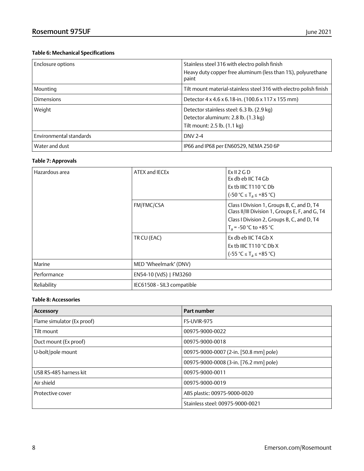### **Table 6: Mechanical Specifications**

| Enclosure options       | Stainless steel 316 with electro polish finish<br>Heavy duty copper free aluminum (less than 1%), polyurethane<br>paint |
|-------------------------|-------------------------------------------------------------------------------------------------------------------------|
| Mounting                | Tilt mount material-stainless steel 316 with electro polish finish                                                      |
| <b>Dimensions</b>       | Detector $4 \times 4.6 \times 6.18$ -in. (100.6 x 117 x 155 mm)                                                         |
| Weight                  | Detector stainless steel: 6.3 lb. (2.9 kg)<br>Detector aluminum: 2.8 lb. (1.3 kg)<br>Tilt mount: 2.5 lb. (1.1 kg)       |
| Environmental standards | <b>DNV 2-4</b>                                                                                                          |
| Water and dust          | IP66 and IP68 per EN60529, NEMA 250 6P                                                                                  |

### **Table 7: Approvals**

| Hazardous area | ATEX and IECEx             | ExII2GD<br>Ex db eb IIC T4 Gb<br>Ex tb IIIC T110 $^{\circ}$ C Db<br>$(-50 °C \leq T_a \leq +85 °C)$                                                                     |
|----------------|----------------------------|-------------------------------------------------------------------------------------------------------------------------------------------------------------------------|
|                | FM/FMC/CSA                 | Class I Division 1, Groups B, C, and D, T4<br>Class II/III Division 1, Groups E, F, and G, T4<br>Class I Division 2, Groups B, C, and D, T4<br>$T_a = -50$ °C to +85 °C |
|                | TR CU (EAC)                | Ex db eb IIC T4 Gb X<br>Ex th IIIC T110 $^{\circ}$ C Db X<br>$(-55 °C \leq T_a \leq +85 °C)$                                                                            |
| Marine         | MED "Wheelmark" (DNV)      |                                                                                                                                                                         |
| Performance    | EN54-10 (VdS)   FM3260     |                                                                                                                                                                         |
| Reliability    | IEC61508 - SIL3 compatible |                                                                                                                                                                         |

### **Table 8: Accessories**

| <b>Accessory</b>           | Part number                            |
|----------------------------|----------------------------------------|
| Flame simulator (Ex proof) | FS-UVIR-975                            |
| Tilt mount                 | 00975-9000-0022                        |
| Duct mount (Ex proof)      | 00975-9000-0018                        |
| U-bolt/pole mount          | 00975-9000-0007 (2-in. [50.8 mm] pole) |
|                            | 00975-9000-0008 (3-in. [76.2 mm] pole) |
| USB RS-485 harness kit     | 00975-9000-0011                        |
| Air shield                 | 00975-9000-0019                        |
| Protective cover           | ABS plastic: 00975-9000-0020           |
|                            | Stainless steel: 00975-9000-0021       |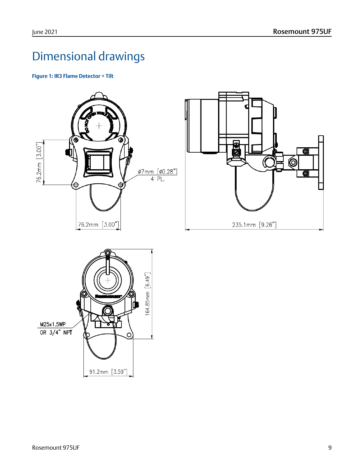## <span id="page-8-0"></span>Dimensional drawings

**Figure 1: IR3 Flame Detector + Tilt**